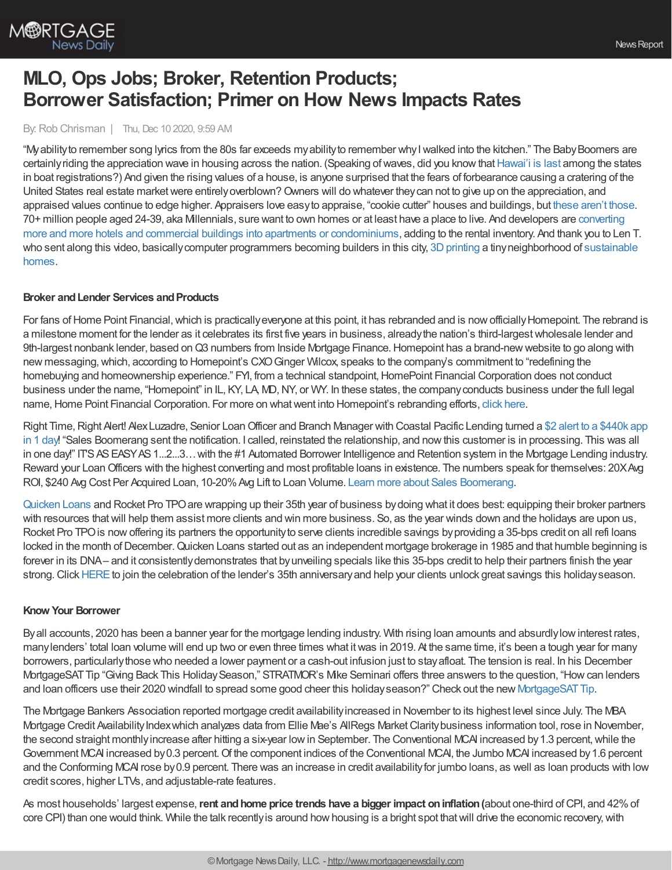

# **MLO, Ops Jobs; Broker, Retention Products; Borrower Satisfaction; Primer on How News Impacts Rates**

#### By: Rob Chrisman | Thu, Dec 10 2020, 9:59 AM

"My ability to remember song lyrics from the 80s far exceeds my ability to remember why I walked into the kitchen." The Baby Boomers are certainly riding the appreciation wave in housing across the nation. (Speaking of waves, did you know that [Hawai'i](https://www.hawaiibusiness.com/did-you-know-hawaii-last-in-registered-boat-ownership/) is last among the states in boat registrations?) And given the rising values of a house, is anyone surprised that the fears of forbearance causing a cratering of the United States real estate market were entirely overblown? Owners will do whatever they can not to give up on the appreciation, and appraised values continue to edge higher. Appraisers love easyto appraise, "cookie cutter" houses and buildings, but these [aren't](https://www.thedrinksbusiness.com/2016/09/top-10-buildings-built-with-booze-bottles/) those. 70+ million people aged 24-39, aka Millennials, sure want to own homes or at least have a place to live. And developers are converting more and more hotels and commercial buildings into apartments or [condominiums,](https://journal.firsttuesday.us/apartment-conversions-add-to-rental-inventory/75350/) adding to the rental inventory. And thank you to Len T. who sent along this video, basically computer programmers becoming builders in this city, 3D printing a tiny neighborhood of sustainable homes.

### **Broker** and Lender Services and Products

For fans of Home Point Financial, which is practically everyone at this point, it has rebranded and is now officially Homepoint. The rebrand is a milestone moment for the lender as it celebrates its first five years in business, alreadythe nation's third-largestwholesale lender and 9th-largest nonbank lender, based on Q3 numbers from Inside Mortgage Finance. Homepoint has a brand-new website to go along with new messaging, which, according to Homepoint's CXO Ginger Wilcox, speaks to the company's commitment to "redefining the homebuying and homeownership experience." FYI, from a technical standpoint, HomePoint Financial Corporation does not conduct business under the name, "Homepoint" in IL, KY, LA, MD, NY, or WY. In these states, the company conducts business under the full legal name, Home Point Financial Corporation. For more on what went into Homepoint's rebranding efforts, click [here](https://www.housingwire.com/articles/how-one-lender-is-putting-the-focus-back-on-people-and-relationships/).

Right Time, Right Alert! Alex Luzadre, Senior Loan Officer and Branch Manager with Coastal Pacific Lending turned a \$2 alert to a \$440k app in 1 day! "Sales Boomerang sent the notification. I called, reinstated the relationship, and nowthis customer is in processing. This was all in one day!" IT'S AS EASY AS 1...2...3... with the #1 Automated Borrower Intelligence and Retention system in the Mortgage Lending industry. Reward your LoanOfficers with the highest converting and most profitable loans in existence. The numbers speak for themselves: 20XAvg ROI, \$240 Avg Cost Per Acquired Loan, 10-20%Avg Lift to Loan Volume. Learn more about Sales [Boomerang](https://hubs.ly/H0sx4pt0).

[Quicken](http://rocketprotpo.com/) Loans and Rocket Pro TPOare wrapping up their 35th year of business bydoing what it does best: equipping their broker partners with resources thatwill help them assist more clients and win more business. So, as the year winds down and the holidays are upon us, Rocket Pro TPO is now offering its partners the opportunity to serve clients incredible savings by providing a 35-bps credit on all refi loans locked in the month of December. Quicken Loans started out as an independent mortgage brokerage in 1985 and that humble beginning is forever in its DNA– and it consistentlydemonstrates that byunveiling specials like this 35-bps credit to help their partners finish the year strong. Click [HERE](https://www.rocketprotpo.com/partner-with-us/) to join the celebration of the lender's 35th anniversary and help your clients unlock great savings this holiday season.

### **Know Your Borrower**

Byall accounts, 2020 has been a banner year for the mortgage lending industry. With rising loan amounts and absurdlylowinterest rates, manylenders' total loan volume will end up two or even three times what itwas in 2019. At the same time, it's been a tough year for many borrowers, particularlythose who needed a lower payment or a cash-out infusion just to stayafloat. The tension is real. In his December MortgageSATTip "Giving Back This HolidaySeason," STRATMOR's Mike Seminari offers three answers to the question, "Howcan lenders and loan officers use their 2020 windfall to spread some good cheer this holiday season?" Check out the new MortgageSAT Tip.

The Mortgage Bankers Association reported mortgage credit availabilityincreased in November to its highest level since July. The MBA Mortgage Credit Availability Index which analyzes data from Ellie Mae's AllRegs Market Clarity business information tool, rose in November, the second straight monthly increase after hitting a six-year low in September. The Conventional MCAI increased by 1.3 percent, while the Government MCAI increased by 0.3 percent. Of the component indices of the Conventional MCAI, the Jumbo MCAI increased by 1.6 percent and the Conforming MCAI rose by 0.9 percent. There was an increase in credit availability for jumbo loans, as well as loan products with low credit scores, higher LTVs, and adjustable-rate features.

As most households' largest expense,**rent andhome price trends have a bigger impact oninflation(**about one-third ofCPI, and 42%of core CPI) than one would think. While the talk recently is around how housing is a bright spot that will drive the economic recovery, with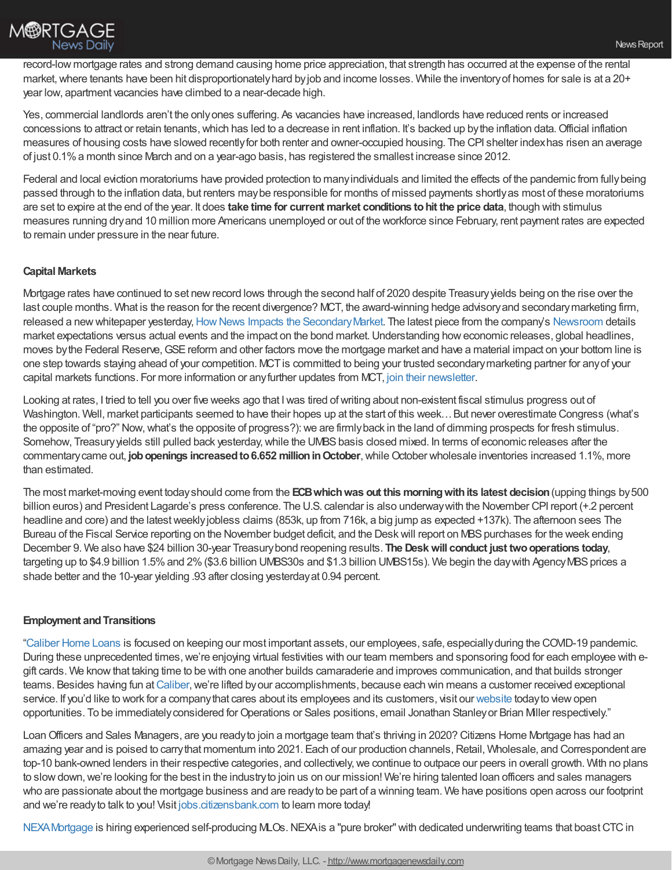

record-low mortgage rates and strong demand causing home price appreciation, that strength has occurred at the expense of the rental market, where tenants have been hit disproportionately hard by job and income losses. While the inventory of homes for sale is at a 20+ year low, apartment vacancies have climbed to a near-decade high.

Yes, commercial landlords aren't the onlyones suffering. As vacancies have increased, landlords have reduced rents or increased concessions to attract or retain tenants,which has led to a decrease in rent inflation. It's backed up bythe inflation data.Official inflation measures of housing costs have slowed recentlyfor both renter and owner-occupied housing. The CPI shelter indexhas risen an average of just 0.1%a month since March and on a year-ago basis, has registered the smallest increase since 2012.

Federal and local eviction moratoriums have provided protection to many individuals and limited the effects of the pandemic from fully being passed through to the inflation data, but renters maybe responsible for months of missed payments shortlyas most of these moratoriums are set to expire at the end of the year. It does **take time for current market conditions tohit the price data**, though with stimulus measures running dryand 10 million more Americans unemployed or out of the workforce since February, rent payment rates are expected to remain under pressure in the near future.

## **Capital Markets**

Mortgage rates have continued to set newrecord lows through the second half of 2020 despite Treasuryyields being on the rise over the last couple months. What is the reason for the recent divergence? MCT, the award-winning hedge advisory and secondary marketing firm, released a new whitepaper yesterday, How News Impacts the Secondary Market. The latest piece from the company's [Newsroom](https://mct-trading.com/newsroom/?utm_source=Chrisman%20Blurb&utm_medium=email&utm_campaign=Chrisman_Blurb_Blogs_Dec10) details market expectations versus actual events and the impact on the bond market.Understanding howeconomic releases, global headlines, moves by the Federal Reserve, GSE reform and other factors move the mortgage market and have a material impact on your bottom line is one step towards staying ahead of your competition. MCT is committed to being your trusted secondary marketing partner for any of your capital markets functions. For more information or anyfurther updates from MCT, join their [newsletter.](https://mct-trading.com/newsroom/?utm_source=Chrisman%20Blurb&utm_medium=email&utm_campaign=Chrisman_Blurb_Blogs_Dec10#join)

Looking at rates, I tried to tell you over five weeks ago that I was tired of writing about non-existent fiscal stimulus progress out of Washington. Well, market participants seemed to have their hopes up at the start of this week... But never overestimate Congress (what's the opposite of "pro?" Now, what's the opposite of progress?): we are firmly back in the land of dimming prospects for fresh stimulus. Somehow, Treasury yields still pulled back yesterday, while the UMBS basis closed mixed. In terms of economic releases after the commentary came out, **job openings increased to 6.652 million in October**, while October wholesale inventories increased 1.1%, more than estimated.

The most market-moving event todayshould come from the **ECBwhichwas out this morningwithits latest decision**(upping things by500 billion euros) and President Lagarde's press conference. The U.S. calendar is also underwaywith the November CPI report (+.2 percent headline and core) and the latest weekly jobless claims (853k, up from 716k, a big jump as expected +137k). The afternoon sees The Bureau of the Fiscal Service reporting on the November budget deficit, and the Desk will report on MBS purchases for the week ending December 9. We also have \$24 billion 30-year Treasurybond reopening results. **The Deskwill conduct just twooperations today**, targeting up to \$4.9 billion 1.5% and 2% (\$3.6 billion UMBS30s and \$1.3 billion UMBS15s). We begin the day with Agency MBS prices a shade better and the 10-year yielding .93 after closing yesterdayat 0.94 percent.

### **Employment and Transitions**

["Caliber](https://recruiting.adp.com/srccar/public/RTI.home?d=ExternalCaliberHomeLoans&_icx=v02Pg0E8dry77as%252F53w4AJaa70NZw%252Fw8fF8hbFO1EF85wLt9DxjYJuzTaiz3cC3bUG0&c=1060341&_dissimuloSSO=k81IQ_xGY14:XQC7YMN_-Mx6DdXOyW3KVTQohAw) Home Loans is focused on keeping our most important assets, our employees, safe, especiallyduring the COVID-19 pandemic. During these unprecedented times, we're enjoying virtual festivities with our team members and sponsoring food for each employee with egift cards. We knowthat taking time to be with one another builds camaraderie and improves communication, and that builds stronger teams. Besides having fun at [Caliber](https://recruiting.adp.com/srccar/public/RTI.home?d=ExternalCaliberHomeLoans&_icx=v02Pg0E8dry77as%252F53w4AJaa70NZw%252Fw8fF8hbFO1EF85wLt9DxjYJuzTaiz3cC3bUG0&c=1060341&_dissimuloSSO=k81IQ_xGY14:XQC7YMN_-Mx6DdXOyW3KVTQohAw), we're lifted by our accomplishments, because each win means a customer received exceptional service. If you'd like to work for a company that cares about its employees and its customers, visit our [website](https://recruiting.adp.com/srccar/public/RTI.home?d=ExternalCaliberHomeLoans&_icx=v02Pg0E8dry77as%252F53w4AJaa70NZw%252Fw8fF8hbFO1EF85wLt9DxjYJuzTaiz3cC3bUG0&c=1060341&_dissimuloSSO=k81IQ_xGY14:XQC7YMN_-Mx6DdXOyW3KVTQohAw) today to view open opportunities. To be immediatelyconsidered forOperations or Sales positions, email Jonathan Stanleyor Brian Miller respectively."

LoanOfficers and Sales Managers, are you readyto join a mortgage team that's thriving in 2020? Citizens Home Mortgage has had an amazing year and is poised to carry that momentum into 2021. Each of our production channels, Retail, Wholesale, and Correspondent are top-10 bank-owned lenders in their respective categories, and collectively, we continue to outpace our peers in overall growth. With no plans to slowdown,we're looking for the best in the industryto join us on our mission! We're hiring talented loan officers and sales managers who are passionate about the mortgage business and are readyto be part of a winning team. We have positions open across our footprint and we're readyto talk to you! Visit [jobs.citizensbank.com](https://jobs.citizensbank.com/) to learn more today!

NEXA Mortgage is hiring experienced self-producing MLOs. NEXA is a "pure broker" with dedicated underwriting teams that boast CTC in